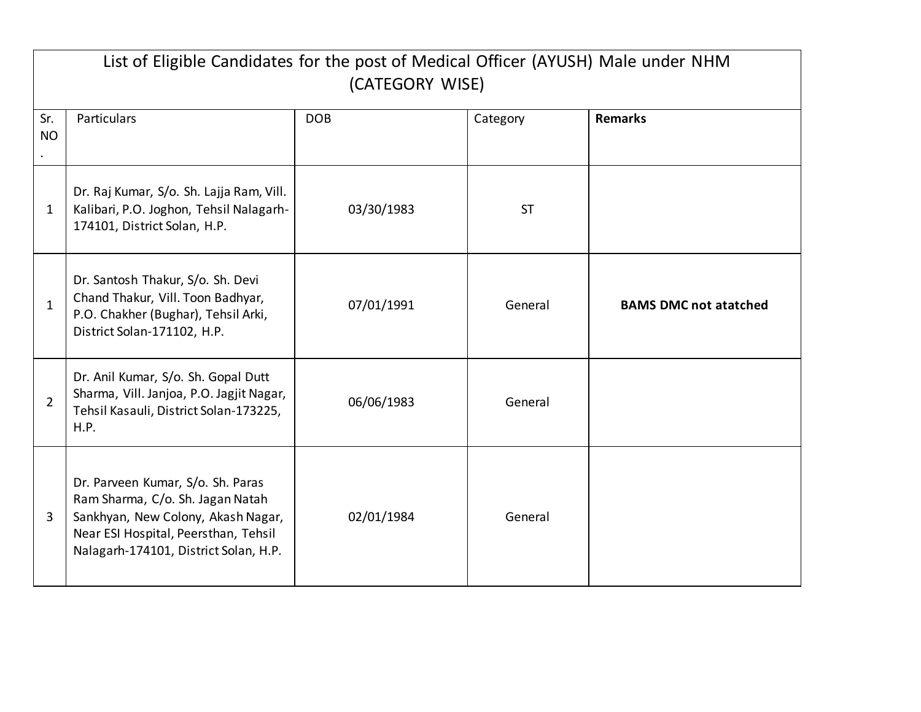|                  | List of Eligible Candidates for the post of Medical Officer (AYUSH) Male under NHM<br>(CATEGORY WISE)                                                                                        |            |           |                              |
|------------------|----------------------------------------------------------------------------------------------------------------------------------------------------------------------------------------------|------------|-----------|------------------------------|
| Sr.<br><b>NO</b> | Particulars                                                                                                                                                                                  | <b>DOB</b> | Category  | <b>Remarks</b>               |
| $\mathbf{1}$     | Dr. Raj Kumar, S/o. Sh. Lajja Ram, Vill.<br>Kalibari, P.O. Joghon, Tehsil Nalagarh-<br>174101, District Solan, H.P.                                                                          | 03/30/1983 | <b>ST</b> |                              |
| $\mathbf{1}$     | Dr. Santosh Thakur, S/o. Sh. Devi<br>Chand Thakur, Vill. Toon Badhyar,<br>P.O. Chakher (Bughar), Tehsil Arki,<br>District Solan-171102, H.P.                                                 | 07/01/1991 | General   | <b>BAMS DMC not atatched</b> |
| $\overline{2}$   | Dr. Anil Kumar, S/o. Sh. Gopal Dutt<br>Sharma, Vill. Janjoa, P.O. Jagjit Nagar,<br>Tehsil Kasauli, District Solan-173225,<br>H.P.                                                            | 06/06/1983 | General   |                              |
| $\overline{3}$   | Dr. Parveen Kumar, S/o. Sh. Paras<br>Ram Sharma, C/o. Sh. Jagan Natah<br>Sankhyan, New Colony, Akash Nagar,<br>Near ESI Hospital, Peersthan, Tehsil<br>Nalagarh-174101, District Solan, H.P. | 02/01/1984 | General   |                              |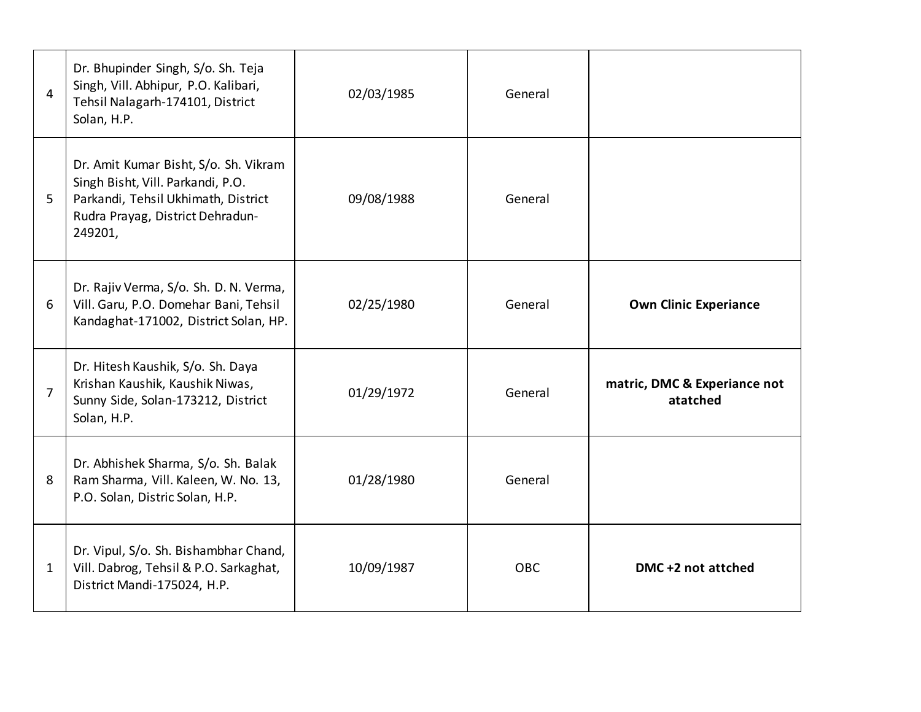| $\overline{4}$ | Dr. Bhupinder Singh, S/o. Sh. Teja<br>Singh, Vill. Abhipur, P.O. Kalibari,<br>Tehsil Nalagarh-174101, District<br>Solan, H.P.                                    | 02/03/1985 | General    |                                          |
|----------------|------------------------------------------------------------------------------------------------------------------------------------------------------------------|------------|------------|------------------------------------------|
| 5              | Dr. Amit Kumar Bisht, S/o. Sh. Vikram<br>Singh Bisht, Vill. Parkandi, P.O.<br>Parkandi, Tehsil Ukhimath, District<br>Rudra Prayag, District Dehradun-<br>249201, | 09/08/1988 | General    |                                          |
| 6              | Dr. Rajiv Verma, S/o. Sh. D. N. Verma,<br>Vill. Garu, P.O. Domehar Bani, Tehsil<br>Kandaghat-171002, District Solan, HP.                                         | 02/25/1980 | General    | <b>Own Clinic Experiance</b>             |
| $\overline{7}$ | Dr. Hitesh Kaushik, S/o. Sh. Daya<br>Krishan Kaushik, Kaushik Niwas,<br>Sunny Side, Solan-173212, District<br>Solan, H.P.                                        | 01/29/1972 | General    | matric, DMC & Experiance not<br>atatched |
| 8              | Dr. Abhishek Sharma, S/o. Sh. Balak<br>Ram Sharma, Vill. Kaleen, W. No. 13,<br>P.O. Solan, Distric Solan, H.P.                                                   | 01/28/1980 | General    |                                          |
| $\mathbf{1}$   | Dr. Vipul, S/o. Sh. Bishambhar Chand,<br>Vill. Dabrog, Tehsil & P.O. Sarkaghat,<br>District Mandi-175024, H.P.                                                   | 10/09/1987 | <b>OBC</b> | DMC +2 not attched                       |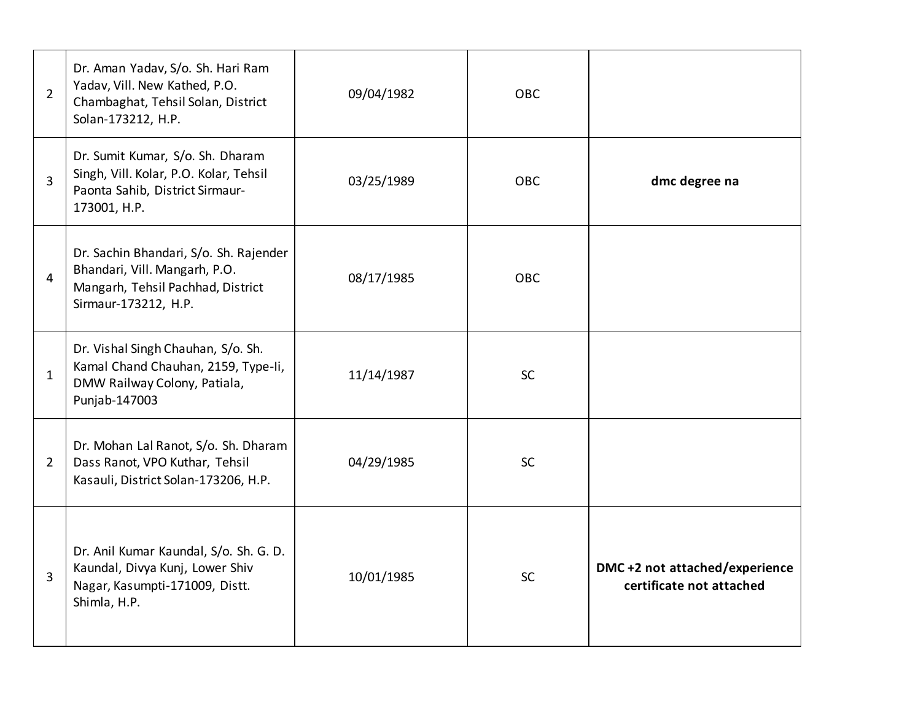| $\overline{2}$ | Dr. Aman Yadav, S/o. Sh. Hari Ram<br>Yadav, Vill. New Kathed, P.O.<br>Chambaghat, Tehsil Solan, District<br>Solan-173212, H.P.       | 09/04/1982 | <b>OBC</b> |                                                           |
|----------------|--------------------------------------------------------------------------------------------------------------------------------------|------------|------------|-----------------------------------------------------------|
| 3              | Dr. Sumit Kumar, S/o. Sh. Dharam<br>Singh, Vill. Kolar, P.O. Kolar, Tehsil<br>Paonta Sahib, District Sirmaur-<br>173001, H.P.        | 03/25/1989 | <b>OBC</b> | dmc degree na                                             |
| 4              | Dr. Sachin Bhandari, S/o. Sh. Rajender<br>Bhandari, Vill. Mangarh, P.O.<br>Mangarh, Tehsil Pachhad, District<br>Sirmaur-173212, H.P. | 08/17/1985 | <b>OBC</b> |                                                           |
| 1              | Dr. Vishal Singh Chauhan, S/o. Sh.<br>Kamal Chand Chauhan, 2159, Type-Ii,<br>DMW Railway Colony, Patiala,<br>Punjab-147003           | 11/14/1987 | <b>SC</b>  |                                                           |
| $\overline{2}$ | Dr. Mohan Lal Ranot, S/o. Sh. Dharam<br>Dass Ranot, VPO Kuthar, Tehsil<br>Kasauli, District Solan-173206, H.P.                       | 04/29/1985 | <b>SC</b>  |                                                           |
| 3              | Dr. Anil Kumar Kaundal, S/o. Sh. G. D.<br>Kaundal, Divya Kunj, Lower Shiv<br>Nagar, Kasumpti-171009, Distt.<br>Shimla, H.P.          | 10/01/1985 | <b>SC</b>  | DMC+2 not attached/experience<br>certificate not attached |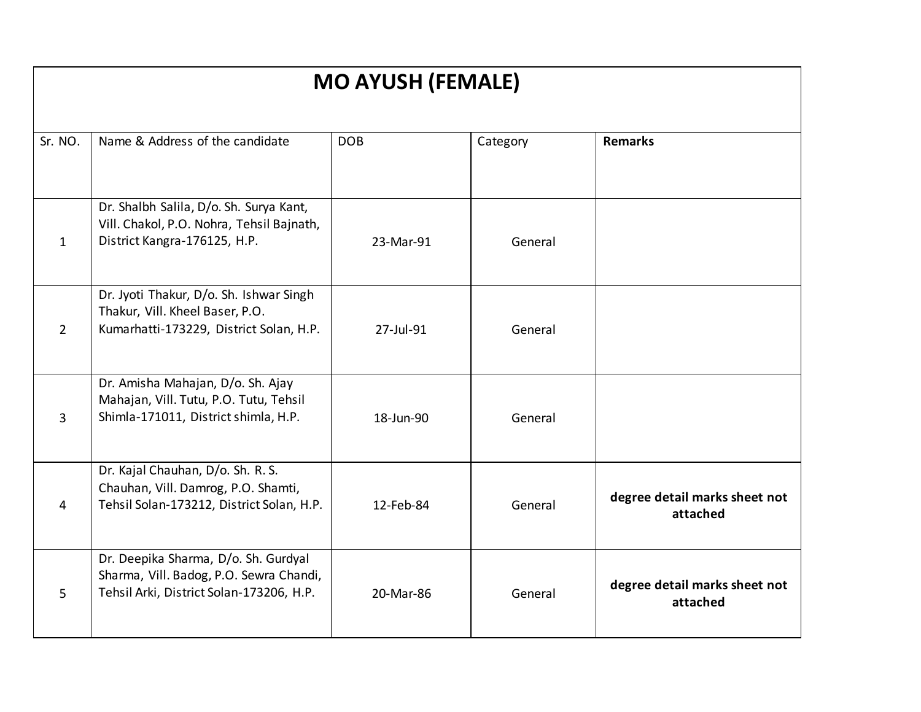| <b>MO AYUSH (FEMALE)</b> |                                                                                                                             |            |          |                                           |
|--------------------------|-----------------------------------------------------------------------------------------------------------------------------|------------|----------|-------------------------------------------|
| Sr. NO.                  | Name & Address of the candidate                                                                                             | <b>DOB</b> | Category | <b>Remarks</b>                            |
|                          |                                                                                                                             |            |          |                                           |
| $\mathbf{1}$             | Dr. Shalbh Salila, D/o. Sh. Surya Kant,<br>Vill. Chakol, P.O. Nohra, Tehsil Bajnath,<br>District Kangra-176125, H.P.        | 23-Mar-91  | General  |                                           |
| $\overline{2}$           | Dr. Jyoti Thakur, D/o. Sh. Ishwar Singh<br>Thakur, Vill. Kheel Baser, P.O.<br>Kumarhatti-173229, District Solan, H.P.       | 27-Jul-91  | General  |                                           |
| $\overline{3}$           | Dr. Amisha Mahajan, D/o. Sh. Ajay<br>Mahajan, Vill. Tutu, P.O. Tutu, Tehsil<br>Shimla-171011, District shimla, H.P.         | 18-Jun-90  | General  |                                           |
| 4                        | Dr. Kajal Chauhan, D/o. Sh. R. S.<br>Chauhan, Vill. Damrog, P.O. Shamti,<br>Tehsil Solan-173212, District Solan, H.P.       | 12-Feb-84  | General  | degree detail marks sheet not<br>attached |
| 5                        | Dr. Deepika Sharma, D/o. Sh. Gurdyal<br>Sharma, Vill. Badog, P.O. Sewra Chandi,<br>Tehsil Arki, District Solan-173206, H.P. | 20-Mar-86  | General  | degree detail marks sheet not<br>attached |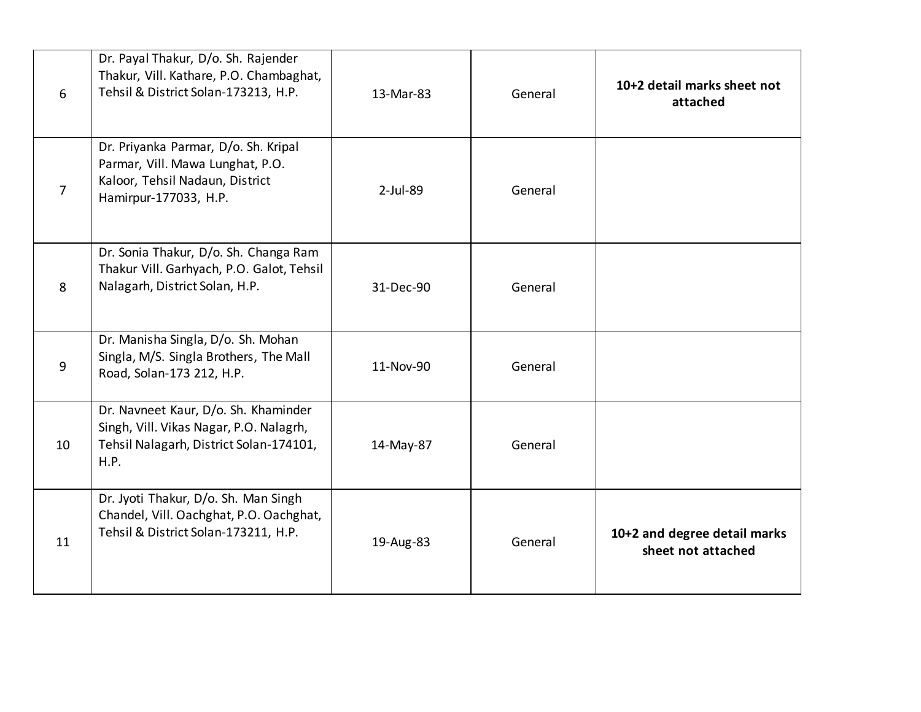| 6              | Dr. Payal Thakur, D/o. Sh. Rajender<br>Thakur, Vill. Kathare, P.O. Chambaghat,<br>Tehsil & District Solan-173213, H.P.               | 13-Mar-83   | General | 10+2 detail marks sheet not<br>attached            |
|----------------|--------------------------------------------------------------------------------------------------------------------------------------|-------------|---------|----------------------------------------------------|
| $\overline{7}$ | Dr. Priyanka Parmar, D/o. Sh. Kripal<br>Parmar, Vill. Mawa Lunghat, P.O.<br>Kaloor, Tehsil Nadaun, District<br>Hamirpur-177033, H.P. | $2$ -Jul-89 | General |                                                    |
| 8              | Dr. Sonia Thakur, D/o. Sh. Changa Ram<br>Thakur Vill. Garhyach, P.O. Galot, Tehsil<br>Nalagarh, District Solan, H.P.                 | 31-Dec-90   | General |                                                    |
| 9              | Dr. Manisha Singla, D/o. Sh. Mohan<br>Singla, M/S. Singla Brothers, The Mall<br>Road, Solan-173 212, H.P.                            | 11-Nov-90   | General |                                                    |
| 10             | Dr. Navneet Kaur, D/o. Sh. Khaminder<br>Singh, Vill. Vikas Nagar, P.O. Nalagrh,<br>Tehsil Nalagarh, District Solan-174101,<br>H.P.   | 14-May-87   | General |                                                    |
| 11             | Dr. Jyoti Thakur, D/o. Sh. Man Singh<br>Chandel, Vill. Oachghat, P.O. Oachghat,<br>Tehsil & District Solan-173211, H.P.              | 19-Aug-83   | General | 10+2 and degree detail marks<br>sheet not attached |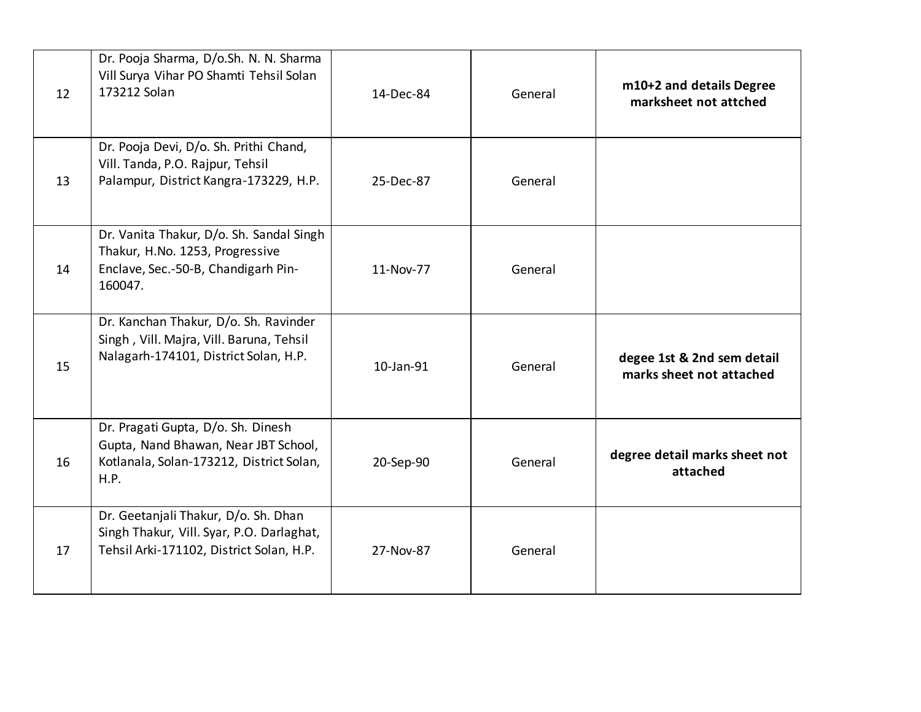| 12 | Dr. Pooja Sharma, D/o.Sh. N. N. Sharma<br>Vill Surya Vihar PO Shamti Tehsil Solan<br>173212 Solan                              | 14-Dec-84 | General | m10+2 and details Degree<br>marksheet not attched      |
|----|--------------------------------------------------------------------------------------------------------------------------------|-----------|---------|--------------------------------------------------------|
| 13 | Dr. Pooja Devi, D/o. Sh. Prithi Chand,<br>Vill. Tanda, P.O. Rajpur, Tehsil<br>Palampur, District Kangra-173229, H.P.           | 25-Dec-87 | General |                                                        |
| 14 | Dr. Vanita Thakur, D/o. Sh. Sandal Singh<br>Thakur, H.No. 1253, Progressive<br>Enclave, Sec.-50-B, Chandigarh Pin-<br>160047.  | 11-Nov-77 | General |                                                        |
| 15 | Dr. Kanchan Thakur, D/o. Sh. Ravinder<br>Singh, Vill. Majra, Vill. Baruna, Tehsil<br>Nalagarh-174101, District Solan, H.P.     | 10-Jan-91 | General | degee 1st & 2nd sem detail<br>marks sheet not attached |
| 16 | Dr. Pragati Gupta, D/o. Sh. Dinesh<br>Gupta, Nand Bhawan, Near JBT School,<br>Kotlanala, Solan-173212, District Solan,<br>H.P. | 20-Sep-90 | General | degree detail marks sheet not<br>attached              |
| 17 | Dr. Geetanjali Thakur, D/o. Sh. Dhan<br>Singh Thakur, Vill. Syar, P.O. Darlaghat,<br>Tehsil Arki-171102, District Solan, H.P.  | 27-Nov-87 | General |                                                        |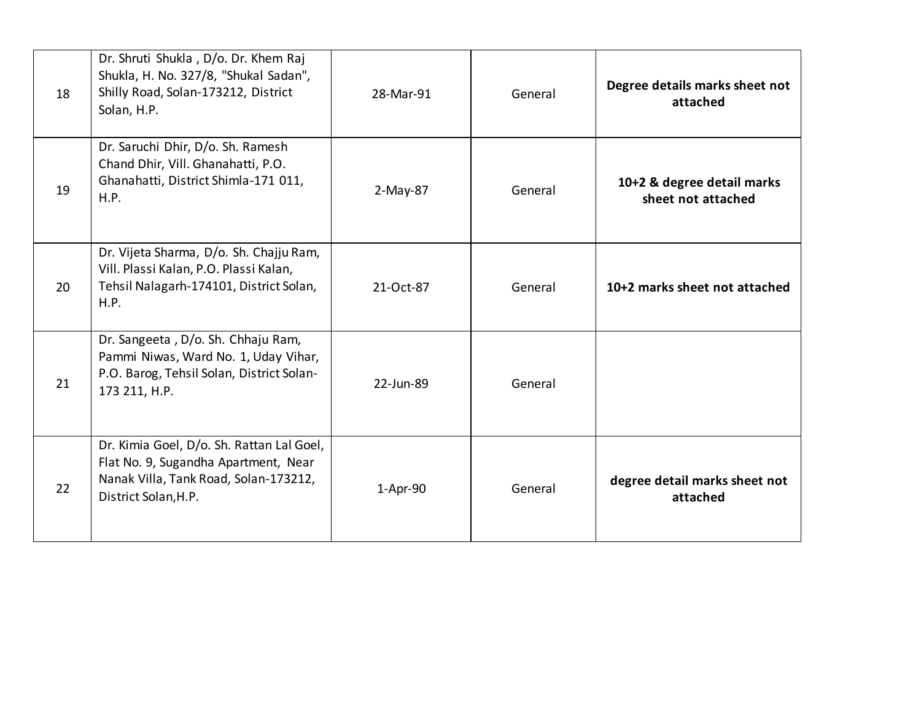| 18 | Dr. Shruti Shukla, D/o. Dr. Khem Raj<br>Shukla, H. No. 327/8, "Shukal Sadan",<br>Shilly Road, Solan-173212, District<br>Solan, H.P.                | 28-Mar-91  | General | Degree details marks sheet not<br>attached       |
|----|----------------------------------------------------------------------------------------------------------------------------------------------------|------------|---------|--------------------------------------------------|
| 19 | Dr. Saruchi Dhir, D/o. Sh. Ramesh<br>Chand Dhir, Vill. Ghanahatti, P.O.<br>Ghanahatti, District Shimla-171 011,<br>H.P.                            | $2-May-87$ | General | 10+2 & degree detail marks<br>sheet not attached |
| 20 | Dr. Vijeta Sharma, D/o. Sh. Chajju Ram,<br>Vill. Plassi Kalan, P.O. Plassi Kalan,<br>Tehsil Nalagarh-174101, District Solan,<br>H.P.               | 21-Oct-87  | General | 10+2 marks sheet not attached                    |
| 21 | Dr. Sangeeta, D/o. Sh. Chhaju Ram,<br>Pammi Niwas, Ward No. 1, Uday Vihar,<br>P.O. Barog, Tehsil Solan, District Solan-<br>173 211, H.P.           | 22-Jun-89  | General |                                                  |
| 22 | Dr. Kimia Goel, D/o. Sh. Rattan Lal Goel,<br>Flat No. 9, Sugandha Apartment, Near<br>Nanak Villa, Tank Road, Solan-173212,<br>District Solan, H.P. | 1-Apr-90   | General | degree detail marks sheet not<br>attached        |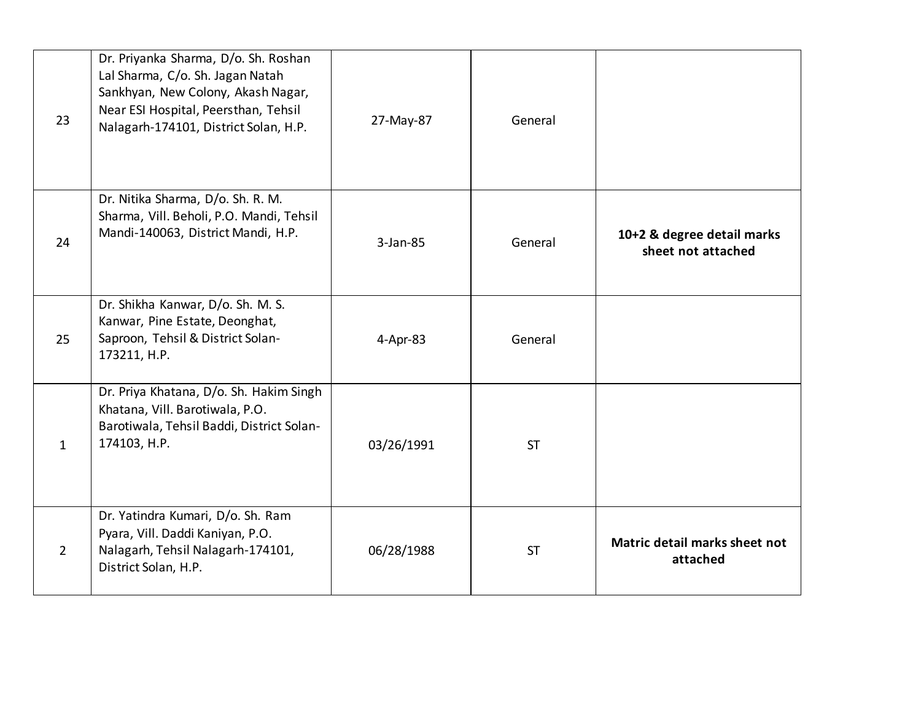| 23             | Dr. Priyanka Sharma, D/o. Sh. Roshan<br>Lal Sharma, C/o. Sh. Jagan Natah<br>Sankhyan, New Colony, Akash Nagar,<br>Near ESI Hospital, Peersthan, Tehsil<br>Nalagarh-174101, District Solan, H.P. | 27-May-87  | General   |                                                  |
|----------------|-------------------------------------------------------------------------------------------------------------------------------------------------------------------------------------------------|------------|-----------|--------------------------------------------------|
| 24             | Dr. Nitika Sharma, D/o. Sh. R. M.<br>Sharma, Vill. Beholi, P.O. Mandi, Tehsil<br>Mandi-140063, District Mandi, H.P.                                                                             | 3-Jan-85   | General   | 10+2 & degree detail marks<br>sheet not attached |
| 25             | Dr. Shikha Kanwar, D/o. Sh. M. S.<br>Kanwar, Pine Estate, Deonghat,<br>Saproon, Tehsil & District Solan-<br>173211, H.P.                                                                        | 4-Apr-83   | General   |                                                  |
| $\mathbf{1}$   | Dr. Priya Khatana, D/o. Sh. Hakim Singh<br>Khatana, Vill. Barotiwala, P.O.<br>Barotiwala, Tehsil Baddi, District Solan-<br>174103, H.P.                                                         | 03/26/1991 | <b>ST</b> |                                                  |
| $\overline{2}$ | Dr. Yatindra Kumari, D/o. Sh. Ram<br>Pyara, Vill. Daddi Kaniyan, P.O.<br>Nalagarh, Tehsil Nalagarh-174101,<br>District Solan, H.P.                                                              | 06/28/1988 | <b>ST</b> | Matric detail marks sheet not<br>attached        |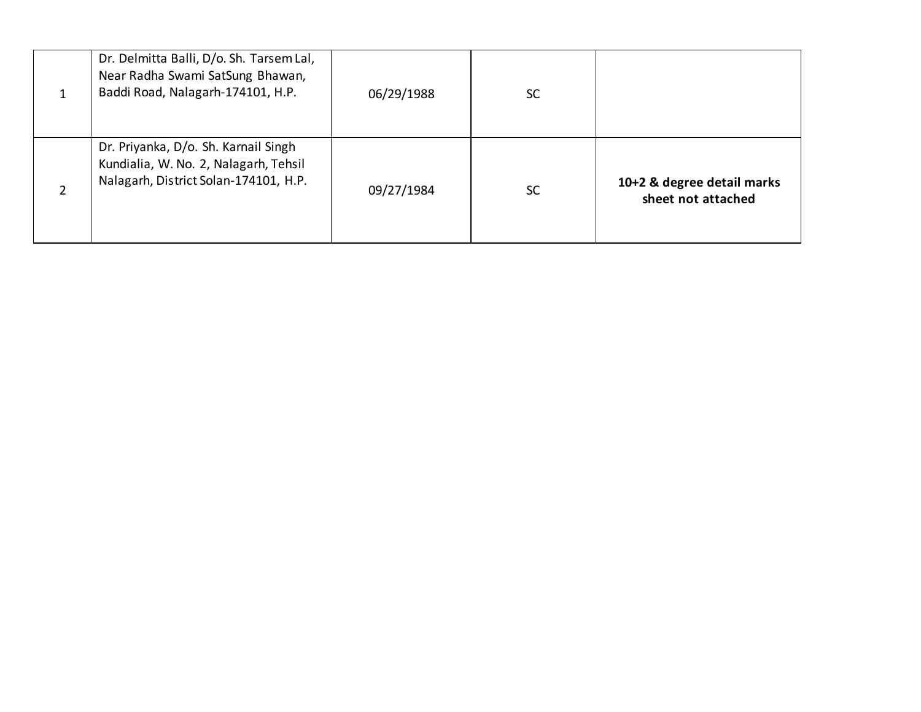|  | Dr. Delmitta Balli, D/o. Sh. Tarsem Lal,<br>Near Radha Swami SatSung Bhawan,<br>Baddi Road, Nalagarh-174101, H.P.      | 06/29/1988 | <b>SC</b> |                                                  |
|--|------------------------------------------------------------------------------------------------------------------------|------------|-----------|--------------------------------------------------|
|  | Dr. Priyanka, D/o. Sh. Karnail Singh<br>Kundialia, W. No. 2, Nalagarh, Tehsil<br>Nalagarh, District Solan-174101, H.P. | 09/27/1984 | <b>SC</b> | 10+2 & degree detail marks<br>sheet not attached |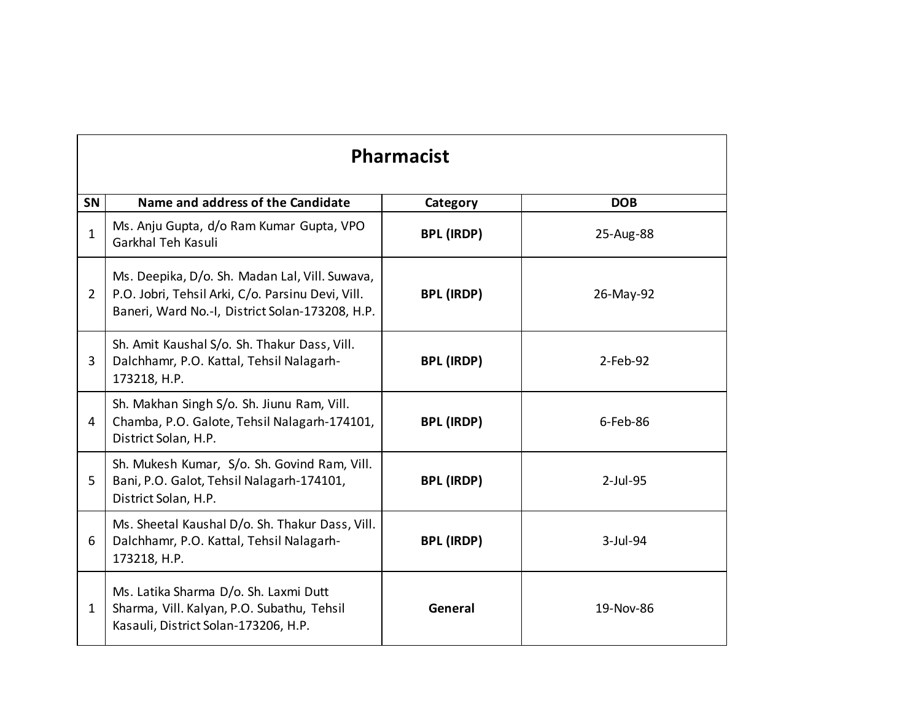|                | <b>Pharmacist</b>                                                                                                                                      |                   |             |  |
|----------------|--------------------------------------------------------------------------------------------------------------------------------------------------------|-------------------|-------------|--|
| <b>SN</b>      | Name and address of the Candidate                                                                                                                      | Category          | <b>DOB</b>  |  |
| $\mathbf{1}$   | Ms. Anju Gupta, d/o Ram Kumar Gupta, VPO<br>Garkhal Teh Kasuli                                                                                         | <b>BPL (IRDP)</b> | 25-Aug-88   |  |
| $\overline{2}$ | Ms. Deepika, D/o. Sh. Madan Lal, Vill. Suwava,<br>P.O. Jobri, Tehsil Arki, C/o. Parsinu Devi, Vill.<br>Baneri, Ward No.-I, District Solan-173208, H.P. | <b>BPL (IRDP)</b> | 26-May-92   |  |
| 3              | Sh. Amit Kaushal S/o. Sh. Thakur Dass, Vill.<br>Dalchhamr, P.O. Kattal, Tehsil Nalagarh-<br>173218, H.P.                                               | <b>BPL (IRDP)</b> | $2$ -Feb-92 |  |
| 4              | Sh. Makhan Singh S/o. Sh. Jiunu Ram, Vill.<br>Chamba, P.O. Galote, Tehsil Nalagarh-174101,<br>District Solan, H.P.                                     | <b>BPL (IRDP)</b> | $6$ -Feb-86 |  |
| 5              | Sh. Mukesh Kumar, S/o. Sh. Govind Ram, Vill.<br>Bani, P.O. Galot, Tehsil Nalagarh-174101,<br>District Solan, H.P.                                      | <b>BPL (IRDP)</b> | $2$ -Jul-95 |  |
| 6              | Ms. Sheetal Kaushal D/o. Sh. Thakur Dass, Vill.<br>Dalchhamr, P.O. Kattal, Tehsil Nalagarh-<br>173218, H.P.                                            | <b>BPL (IRDP)</b> | 3-Jul-94    |  |
| $\mathbf{1}$   | Ms. Latika Sharma D/o. Sh. Laxmi Dutt<br>Sharma, Vill. Kalyan, P.O. Subathu, Tehsil<br>Kasauli, District Solan-173206, H.P.                            | General           | 19-Nov-86   |  |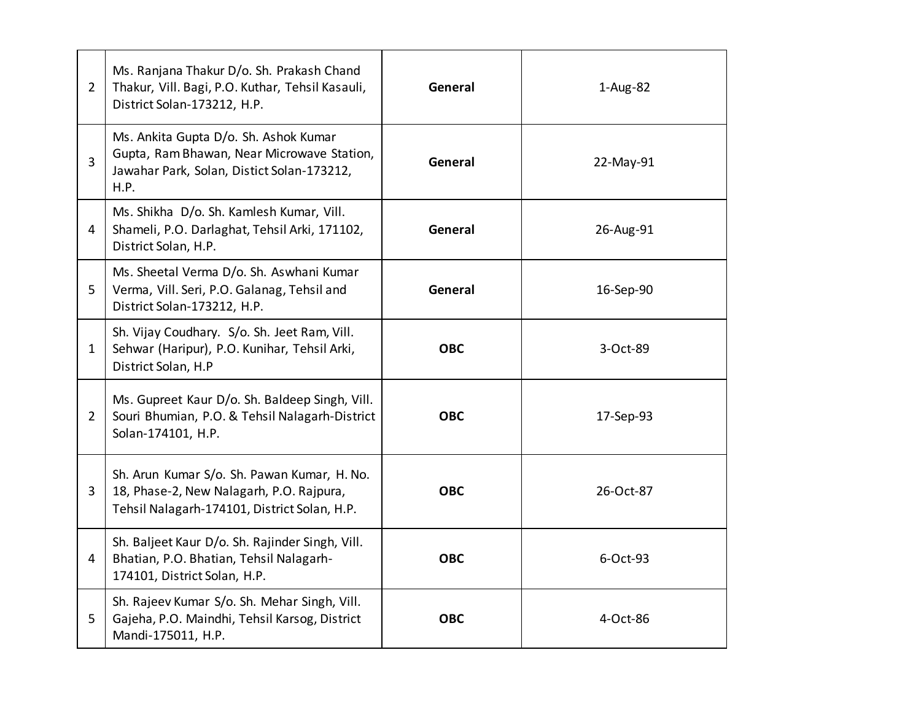| $\overline{2}$ | Ms. Ranjana Thakur D/o. Sh. Prakash Chand<br>Thakur, Vill. Bagi, P.O. Kuthar, Tehsil Kasauli,<br>District Solan-173212, H.P.              | General    | 1-Aug-82  |
|----------------|-------------------------------------------------------------------------------------------------------------------------------------------|------------|-----------|
| $\overline{3}$ | Ms. Ankita Gupta D/o. Sh. Ashok Kumar<br>Gupta, Ram Bhawan, Near Microwave Station,<br>Jawahar Park, Solan, Distict Solan-173212,<br>H.P. | General    | 22-May-91 |
| 4              | Ms. Shikha D/o. Sh. Kamlesh Kumar, Vill.<br>Shameli, P.O. Darlaghat, Tehsil Arki, 171102,<br>District Solan, H.P.                         | General    | 26-Aug-91 |
| 5              | Ms. Sheetal Verma D/o. Sh. Aswhani Kumar<br>Verma, Vill. Seri, P.O. Galanag, Tehsil and<br>District Solan-173212, H.P.                    | General    | 16-Sep-90 |
| $\mathbf{1}$   | Sh. Vijay Coudhary. S/o. Sh. Jeet Ram, Vill.<br>Sehwar (Haripur), P.O. Kunihar, Tehsil Arki,<br>District Solan, H.P                       | <b>OBC</b> | 3-Oct-89  |
| $\overline{2}$ | Ms. Gupreet Kaur D/o. Sh. Baldeep Singh, Vill.<br>Souri Bhumian, P.O. & Tehsil Nalagarh-District<br>Solan-174101, H.P.                    | <b>OBC</b> | 17-Sep-93 |
| 3              | Sh. Arun Kumar S/o. Sh. Pawan Kumar, H. No.<br>18, Phase-2, New Nalagarh, P.O. Rajpura,<br>Tehsil Nalagarh-174101, District Solan, H.P.   | <b>OBC</b> | 26-Oct-87 |
| 4              | Sh. Baljeet Kaur D/o. Sh. Rajinder Singh, Vill.<br>Bhatian, P.O. Bhatian, Tehsil Nalagarh-<br>174101, District Solan, H.P.                | <b>OBC</b> | 6-Oct-93  |
| 5              | Sh. Rajeev Kumar S/o. Sh. Mehar Singh, Vill.<br>Gajeha, P.O. Maindhi, Tehsil Karsog, District<br>Mandi-175011, H.P.                       | <b>OBC</b> | 4-Oct-86  |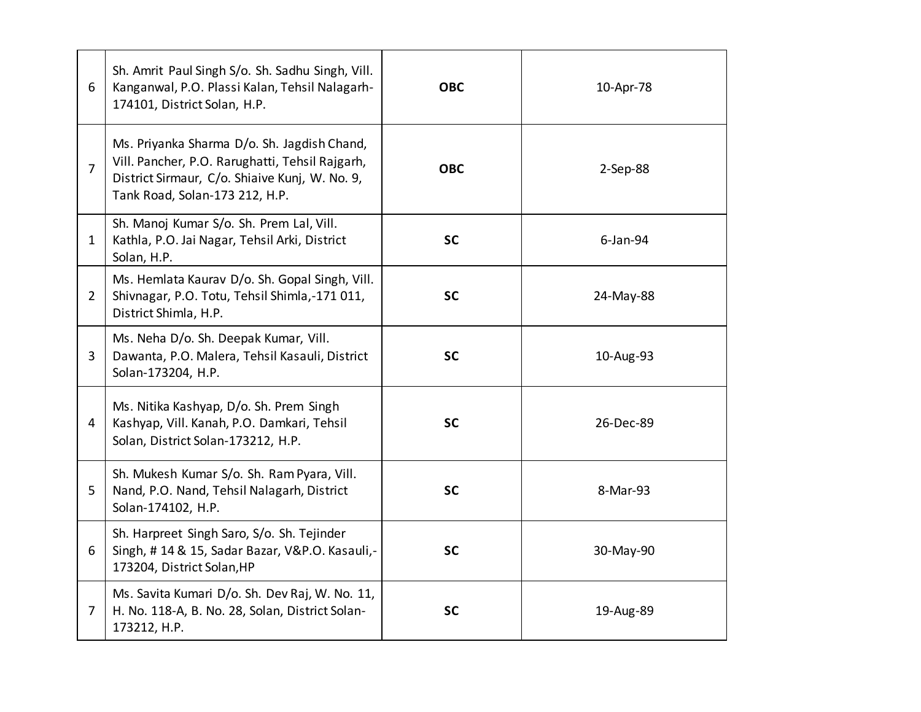| 6              | Sh. Amrit Paul Singh S/o. Sh. Sadhu Singh, Vill.<br>Kanganwal, P.O. Plassi Kalan, Tehsil Nalagarh-<br>174101, District Solan, H.P.                                                 | <b>OBC</b> | 10-Apr-78   |
|----------------|------------------------------------------------------------------------------------------------------------------------------------------------------------------------------------|------------|-------------|
| $\overline{7}$ | Ms. Priyanka Sharma D/o. Sh. Jagdish Chand,<br>Vill. Pancher, P.O. Rarughatti, Tehsil Rajgarh,<br>District Sirmaur, C/o. Shiaive Kunj, W. No. 9,<br>Tank Road, Solan-173 212, H.P. | <b>OBC</b> | $2-Sep-88$  |
| $\mathbf{1}$   | Sh. Manoj Kumar S/o. Sh. Prem Lal, Vill.<br>Kathla, P.O. Jai Nagar, Tehsil Arki, District<br>Solan, H.P.                                                                           | <b>SC</b>  | $6$ -Jan-94 |
| $\overline{2}$ | Ms. Hemlata Kaurav D/o. Sh. Gopal Singh, Vill.<br>Shivnagar, P.O. Totu, Tehsil Shimla,-171 011,<br>District Shimla, H.P.                                                           | <b>SC</b>  | 24-May-88   |
| 3              | Ms. Neha D/o. Sh. Deepak Kumar, Vill.<br>Dawanta, P.O. Malera, Tehsil Kasauli, District<br>Solan-173204, H.P.                                                                      | <b>SC</b>  | 10-Aug-93   |
| 4              | Ms. Nitika Kashyap, D/o. Sh. Prem Singh<br>Kashyap, Vill. Kanah, P.O. Damkari, Tehsil<br>Solan, District Solan-173212, H.P.                                                        | <b>SC</b>  | 26-Dec-89   |
| 5              | Sh. Mukesh Kumar S/o. Sh. Ram Pyara, Vill.<br>Nand, P.O. Nand, Tehsil Nalagarh, District<br>Solan-174102, H.P.                                                                     | <b>SC</b>  | 8-Mar-93    |
| 6              | Sh. Harpreet Singh Saro, S/o. Sh. Tejinder<br>Singh, #14 & 15, Sadar Bazar, V&P.O. Kasauli,-<br>173204, District Solan, HP                                                         | <b>SC</b>  | 30-May-90   |
| $\overline{7}$ | Ms. Savita Kumari D/o. Sh. Dev Raj, W. No. 11,<br>H. No. 118-A, B. No. 28, Solan, District Solan-<br>173212, H.P.                                                                  | <b>SC</b>  | 19-Aug-89   |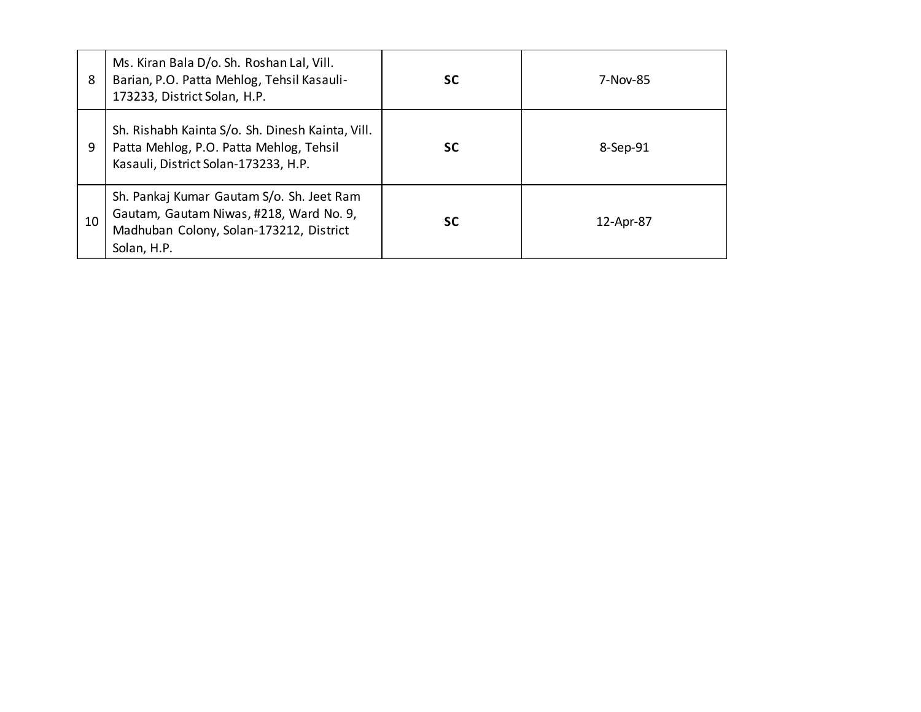| 8  | Ms. Kiran Bala D/o. Sh. Roshan Lal, Vill.<br>Barian, P.O. Patta Mehlog, Tehsil Kasauli-<br>173233, District Solan, H.P.                        | <b>SC</b> | 7-Nov-85  |
|----|------------------------------------------------------------------------------------------------------------------------------------------------|-----------|-----------|
| 9  | Sh. Rishabh Kainta S/o. Sh. Dinesh Kainta, Vill.<br>Patta Mehlog, P.O. Patta Mehlog, Tehsil<br>Kasauli, District Solan-173233, H.P.            | <b>SC</b> | 8-Sep-91  |
| 10 | Sh. Pankaj Kumar Gautam S/o. Sh. Jeet Ram<br>Gautam, Gautam Niwas, #218, Ward No. 9,<br>Madhuban Colony, Solan-173212, District<br>Solan, H.P. | <b>SC</b> | 12-Apr-87 |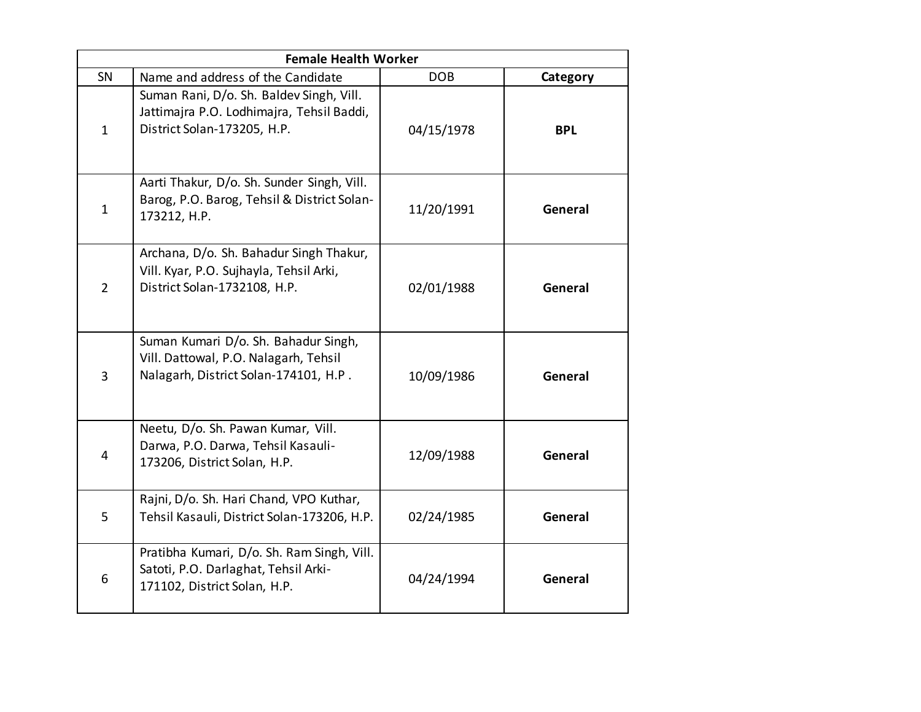| <b>Female Health Worker</b> |                                                                                                                        |            |            |  |  |
|-----------------------------|------------------------------------------------------------------------------------------------------------------------|------------|------------|--|--|
| SN                          | Name and address of the Candidate                                                                                      | <b>DOB</b> | Category   |  |  |
| $\mathbf{1}$                | Suman Rani, D/o. Sh. Baldev Singh, Vill.<br>Jattimajra P.O. Lodhimajra, Tehsil Baddi,<br>District Solan-173205, H.P.   | 04/15/1978 | <b>BPL</b> |  |  |
| $\mathbf{1}$                | Aarti Thakur, D/o. Sh. Sunder Singh, Vill.<br>Barog, P.O. Barog, Tehsil & District Solan-<br>173212, H.P.              | 11/20/1991 | General    |  |  |
| $\overline{2}$              | Archana, D/o. Sh. Bahadur Singh Thakur,<br>Vill. Kyar, P.O. Sujhayla, Tehsil Arki,<br>District Solan-1732108, H.P.     | 02/01/1988 | General    |  |  |
| 3                           | Suman Kumari D/o. Sh. Bahadur Singh,<br>Vill. Dattowal, P.O. Nalagarh, Tehsil<br>Nalagarh, District Solan-174101, H.P. | 10/09/1986 | General    |  |  |
| 4                           | Neetu, D/o. Sh. Pawan Kumar, Vill.<br>Darwa, P.O. Darwa, Tehsil Kasauli-<br>173206, District Solan, H.P.               | 12/09/1988 | General    |  |  |
| 5                           | Rajni, D/o. Sh. Hari Chand, VPO Kuthar,<br>Tehsil Kasauli, District Solan-173206, H.P.                                 | 02/24/1985 | General    |  |  |
| 6                           | Pratibha Kumari, D/o. Sh. Ram Singh, Vill.<br>Satoti, P.O. Darlaghat, Tehsil Arki-<br>171102, District Solan, H.P.     | 04/24/1994 | General    |  |  |